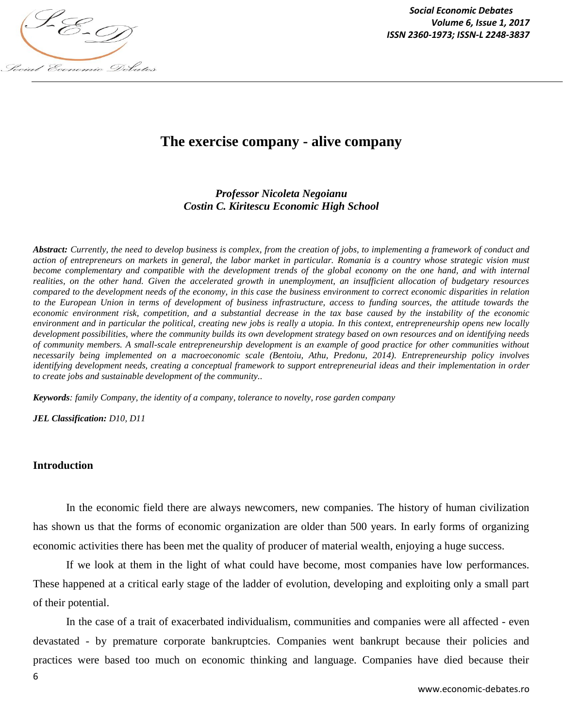

*Social Economic Debates Volume 6, Issue 1, 2017*

# **The exercise company - alive company**

## *Professor Nicoleta Negoianu Costin C. Kiritescu Economic High School*

*Abstract: Currently, the need to develop business is complex, from the creation of jobs, to implementing a framework of conduct and action of entrepreneurs on markets in general, the labor market in particular. Romania is a country whose strategic vision must become complementary and compatible with the development trends of the global economy on the one hand, and with internal realities, on the other hand. Given the accelerated growth in unemployment, an insufficient allocation of budgetary resources compared to the development needs of the economy, in this case the business environment to correct economic disparities in relation to the European Union in terms of development of business infrastructure, access to funding sources, the attitude towards the economic environment risk, competition, and a substantial decrease in the tax base caused by the instability of the economic environment and in particular the political, creating new jobs is really a utopia. In this context, entrepreneurship opens new locally development possibilities, where the community builds its own development strategy based on own resources and on identifying needs of community members. A small-scale entrepreneurship development is an example of good practice for other communities without necessarily being implemented on a macroeconomic scale (Bentoiu, Athu, Predonu, 2014). Entrepreneurship policy involves identifying development needs, creating a conceptual framework to support entrepreneurial ideas and their implementation in order to create jobs and sustainable development of the community..*

*Keywords: family Company, the identity of a company, tolerance to novelty, rose garden company*

*JEL Classification: D10, D11*

#### **Introduction**

In the economic field there are always newcomers, new companies. The history of human civilization has shown us that the forms of economic organization are older than 500 years. In early forms of organizing economic activities there has been met the quality of producer of material wealth, enjoying a huge success.

If we look at them in the light of what could have become, most companies have low performances. These happened at a critical early stage of the ladder of evolution, developing and exploiting only a small part of their potential.

In the case of a trait of exacerbated individualism, communities and companies were all affected - even devastated - by premature corporate bankruptcies. Companies went bankrupt because their policies and practices were based too much on economic thinking and language. Companies have died because their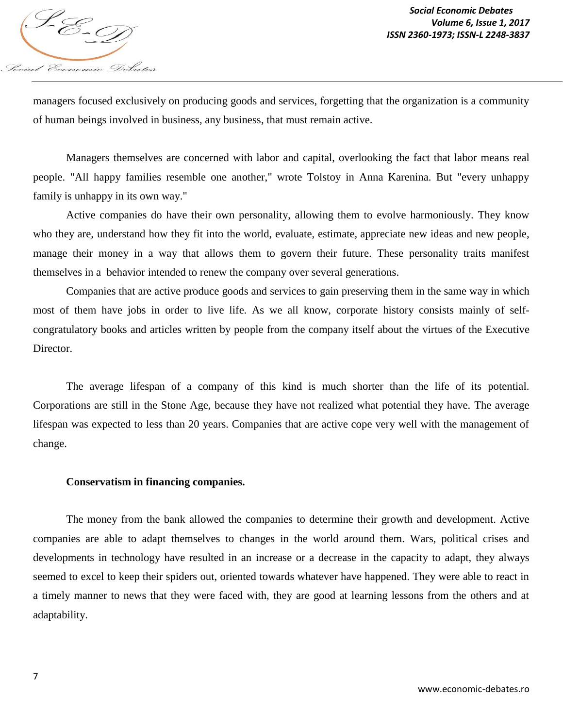

managers focused exclusively on producing goods and services, forgetting that the organization is a community of human beings involved in business, any business, that must remain active.

Managers themselves are concerned with labor and capital, overlooking the fact that labor means real people. "All happy families resemble one another," wrote Tolstoy in Anna Karenina. But "every unhappy family is unhappy in its own way."

Active companies do have their own personality, allowing them to evolve harmoniously. They know who they are, understand how they fit into the world, evaluate, estimate, appreciate new ideas and new people, manage their money in a way that allows them to govern their future. These personality traits manifest themselves in a behavior intended to renew the company over several generations.

Companies that are active produce goods and services to gain preserving them in the same way in which most of them have jobs in order to live life. As we all know, corporate history consists mainly of selfcongratulatory books and articles written by people from the company itself about the virtues of the Executive Director.

The average lifespan of a company of this kind is much shorter than the life of its potential. Corporations are still in the Stone Age, because they have not realized what potential they have. The average lifespan was expected to less than 20 years. Companies that are active cope very well with the management of change.

#### **Conservatism in financing companies.**

The money from the bank allowed the companies to determine their growth and development. Active companies are able to adapt themselves to changes in the world around them. Wars, political crises and developments in technology have resulted in an increase or a decrease in the capacity to adapt, they always seemed to excel to keep their spiders out, oriented towards whatever have happened. They were able to react in a timely manner to news that they were faced with, they are good at learning lessons from the others and at adaptability.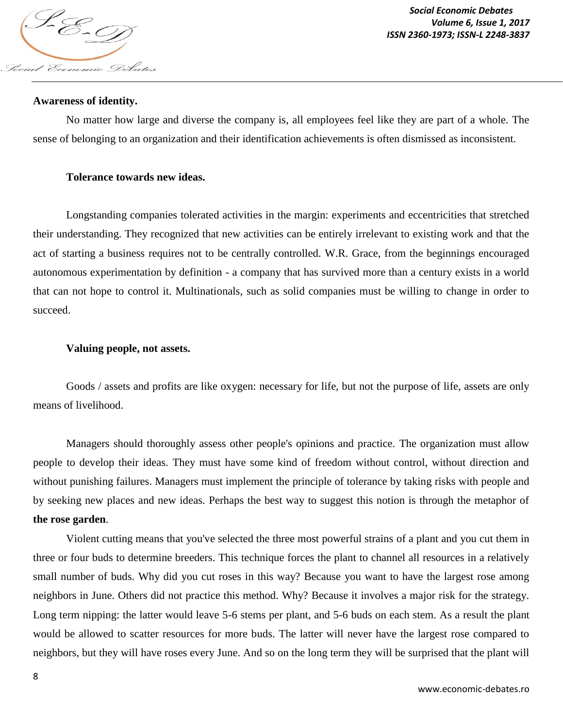

#### **Awareness of identity.**

No matter how large and diverse the company is, all employees feel like they are part of a whole. The sense of belonging to an organization and their identification achievements is often dismissed as inconsistent.

#### **Tolerance towards new ideas.**

Longstanding companies tolerated activities in the margin: experiments and eccentricities that stretched their understanding. They recognized that new activities can be entirely irrelevant to existing work and that the act of starting a business requires not to be centrally controlled. W.R. Grace, from the beginnings encouraged autonomous experimentation by definition - a company that has survived more than a century exists in a world that can not hope to control it. Multinationals, such as solid companies must be willing to change in order to succeed.

#### **Valuing people, not assets.**

Goods / assets and profits are like oxygen: necessary for life, but not the purpose of life, assets are only means of livelihood.

Managers should thoroughly assess other people's opinions and practice. The organization must allow people to develop their ideas. They must have some kind of freedom without control, without direction and without punishing failures. Managers must implement the principle of tolerance by taking risks with people and by seeking new places and new ideas. Perhaps the best way to suggest this notion is through the metaphor of **the rose garden**.

Violent cutting means that you've selected the three most powerful strains of a plant and you cut them in three or four buds to determine breeders. This technique forces the plant to channel all resources in a relatively small number of buds. Why did you cut roses in this way? Because you want to have the largest rose among neighbors in June. Others did not practice this method. Why? Because it involves a major risk for the strategy. Long term nipping: the latter would leave 5-6 stems per plant, and 5-6 buds on each stem. As a result the plant would be allowed to scatter resources for more buds. The latter will never have the largest rose compared to neighbors, but they will have roses every June. And so on the long term they will be surprised that the plant will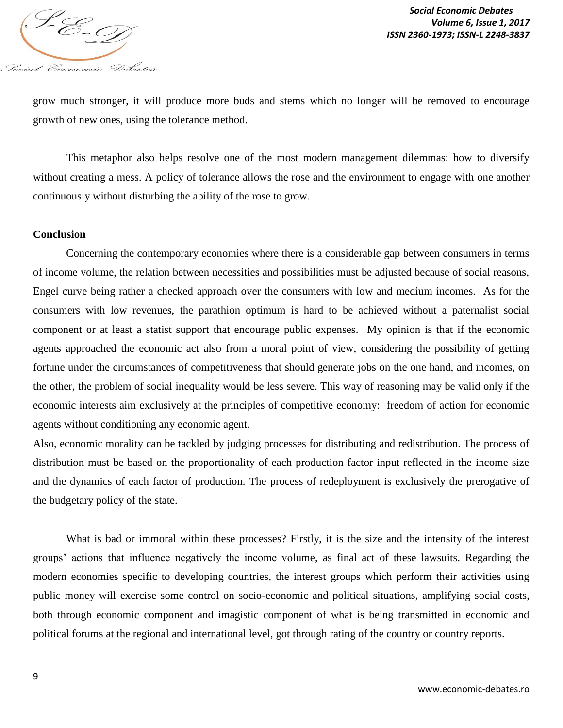

grow much stronger, it will produce more buds and stems which no longer will be removed to encourage growth of new ones, using the tolerance method.

This metaphor also helps resolve one of the most modern management dilemmas: how to diversify without creating a mess. A policy of tolerance allows the rose and the environment to engage with one another continuously without disturbing the ability of the rose to grow.

#### **Conclusion**

Concerning the contemporary economies where there is a considerable gap between consumers in terms of income volume, the relation between necessities and possibilities must be adjusted because of social reasons, Engel curve being rather a checked approach over the consumers with low and medium incomes. As for the consumers with low revenues, the parathion optimum is hard to be achieved without a paternalist social component or at least a statist support that encourage public expenses. My opinion is that if the economic agents approached the economic act also from a moral point of view, considering the possibility of getting fortune under the circumstances of competitiveness that should generate jobs on the one hand, and incomes, on the other, the problem of social inequality would be less severe. This way of reasoning may be valid only if the economic interests aim exclusively at the principles of competitive economy: freedom of action for economic agents without conditioning any economic agent.

Also, economic morality can be tackled by judging processes for distributing and redistribution. The process of distribution must be based on the proportionality of each production factor input reflected in the income size and the dynamics of each factor of production. The process of redeployment is exclusively the prerogative of the budgetary policy of the state.

What is bad or immoral within these processes? Firstly, it is the size and the intensity of the interest groups' actions that influence negatively the income volume, as final act of these lawsuits. Regarding the modern economies specific to developing countries, the interest groups which perform their activities using public money will exercise some control on socio-economic and political situations, amplifying social costs, both through economic component and imagistic component of what is being transmitted in economic and political forums at the regional and international level, got through rating of the country or country reports.